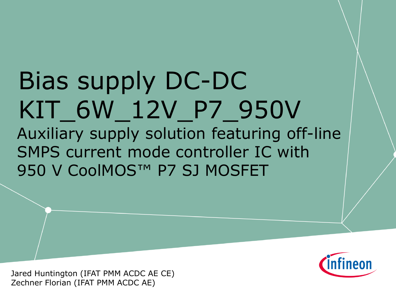# Bias supply DC-DC KIT\_6W\_12V\_P7\_950V Auxiliary supply solution featuring off-line SMPS current mode controller IC with 950 V CoolMOS™ P7 SJ MOSFET

Jared Huntington (IFAT PMM ACDC AE CE) Zechner Florian (IFAT PMM ACDC AE)

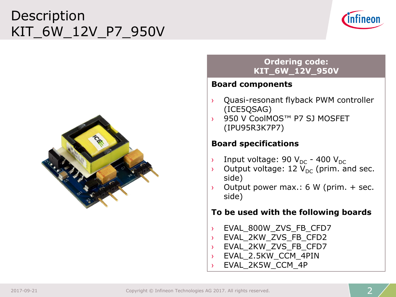## Description KIT\_6W\_12V\_P7\_950V



### **Ordering code: KIT\_6W\_12V\_950V**

#### **Board components**

- › Quasi-resonant flyback PWM controller (ICE5QSAG)
- 950 V CoolMOS™ P7 SJ MOSFET (IPU95R3K7P7)

#### **Board specifications**

- $\rightarrow$  Input voltage: 90 V<sub>DC</sub> 400 V<sub>DC</sub>
- $\rightarrow$  Output voltage: 12  $V_{DC}$  (prim. and sec. side)
- $\rightarrow$  Output power max.: 6 W (prim. + sec. side)

#### **To be used with the following boards**

- › EVAL\_800W\_ZVS\_FB\_CFD7
- › EVAL\_2KW\_ZVS\_FB\_CFD2
- › EVAL\_2KW\_ZVS\_FB\_CFD7
- › EVAL\_2.5KW\_CCM\_4PIN
- EVAL 2K5W CCM 4P

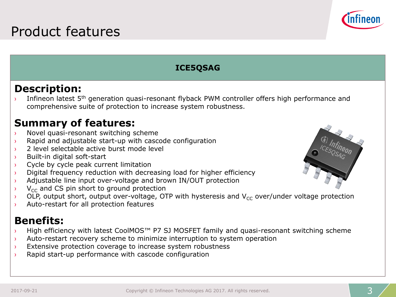

#### **ICE5QSAG**

### **Description:**

Infineon latest 5<sup>th</sup> generation quasi-resonant flyback PWM controller offers high performance and comprehensive suite of protection to increase system robustness.

### **Summary of features:**

- › Novel quasi-resonant switching scheme
- › Rapid and adjustable start-up with cascode configuration
- › 2 level selectable active burst mode level
- › Built-in digital soft-start
- $\rightarrow$  Cycle by cycle peak current limitation
- $\rightarrow$  Digital frequency reduction with decreasing load for higher efficiency
- › Adjustable line input over-voltage and brown IN/OUT protection
- $V_{\text{CC}}$  and CS pin short to ground protection
- $\rightarrow$  OLP, output short, output over-voltage, OTP with hysteresis and V<sub>CC</sub> over/under voltage protection
- › Auto-restart for all protection features

### **Benefits:**

- › High efficiency with latest CoolMOS™ P7 SJ MOSFET family and quasi-resonant switching scheme
- $\rightarrow$  Auto-restart recovery scheme to minimize interruption to system operation
- $\rightarrow$  Extensive protection coverage to increase system robustness
- $\rightarrow$  Rapid start-up performance with cascode configuration

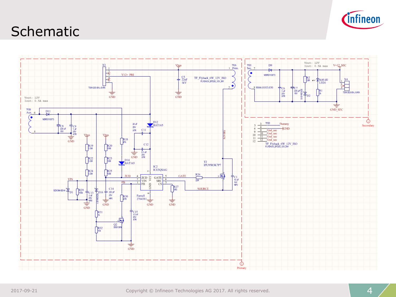

## **Schematic**

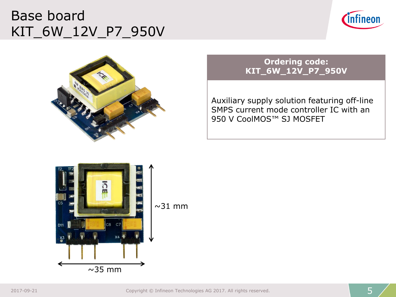## Base board KIT\_6W\_12V\_P7\_950V





#### **Ordering code: KIT\_6W\_12V\_P7\_950V**

Auxiliary supply solution featuring off-line SMPS current mode controller IC with an 950 V CoolMOS™ SJ MOSFET

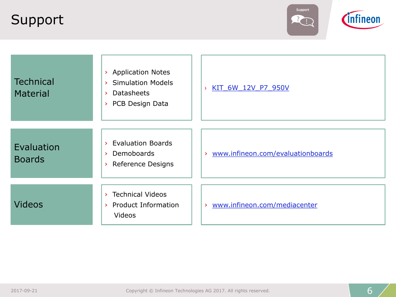## Support



| <b>Technical</b><br><b>Material</b> | > Application Notes<br>> Simulation Models<br><b>Datasheets</b><br>$\geq$<br>> PCB Design Data | KIT 6W 12V P7 950V<br>У             |
|-------------------------------------|------------------------------------------------------------------------------------------------|-------------------------------------|
| Evaluation<br><b>Boards</b>         | > Evaluation Boards<br>> Demoboards<br>> Reference Designs                                     | > www.infineon.com/evaluationboards |
| <b>Videos</b>                       | > Technical Videos<br>> Product Information<br><b>Videos</b>                                   | > www.infineon.com/mediacenter      |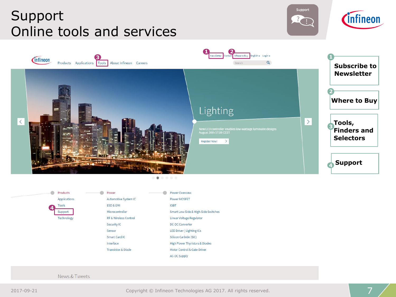## Support Online tools and services







Products Power m. Power Overview Applications Automotive System IC Power MOSFET ESD & EMI **IGBT** Tools **4** Microcontroller Smart Low-Side & High-Side Switches Support RF & Wireless Control Technology Linear Voltage Regulator Security IC DC-DC Converter Sensor **LED Driver | Lighting ICs Smart Card IC** Silicon Carbide (SiC) Interface High Power Thyristors & Diodes **Transistor & Diode** Motor Control & Gate Driver AC-DC Supply

News & Tweets

2017-09-21 Copyright © Infineon Technologies AG 2017. All rights reserved.